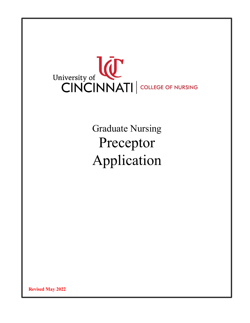

**Graduate Nursing** Preceptor Application

**Revised May 2022**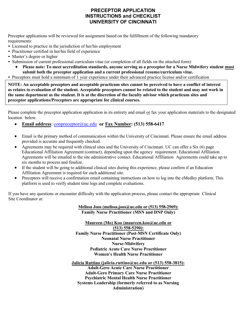## **PRECEPTOR APPLICATION INSTRUCTIONS and CHECKLIST UNIVERSITY OF CINCINNATI**

Preceptor applications will be reviewed for assignment based on the fulfillment of the following mandatory requirements:

- Licensed to practice in the jurisdiction of her/his employment
- Practitioner certified in her/his field of experience
- Master's degree or higher
- Submission of current professional curriculum vitae (or completion of all fields on the attached form)
	- **Please note: To meet accreditation standards, anyone serving as a preceptor for a Nurse Midwifery student must submit both the preceptor application and a current professional resume/curriculum vitae.**
- Preceptors must hold a minimum of 1 year experience under their advanced practice license and/or certification

**NOTE: An acceptable preceptors and acceptable practicum sites cannot be perceived to have a conflict of interest as relates to evaluation of the student. Acceptable preceptors cannot be related to the student and may not work in the same department as the student. It is at the discretion of the faculty advisor which practicum sites and preceptor applications/Preceptors are appropriate for clinical courses.** 

Please complete the preceptor application application in its entirety and email or fax your application materials to the designated location below.

- **Email address**: [conpreceptor@uc.edu](mailto:conpreceptor@uc.edu) **or Fax Number: (513) 558-6417**
- Email is the primary method of communication within the University of Cincinnati. Please ensure the email address provided is accurate and frequently checked.
- Agreements may be required with clinical sites and the University of Cincinnati. UC can offer a Six (6) page Educational Affiliation Agreement (contract), depending upon the agency requirement. Educational Affiliation Agreements will be emailed to the site administrative contact. Educational Affiliation Agreements could take up to six months to process and finalize.
- If the student will be going to additional clinical sites during this experience, please confirm if an Education Affiliation Agreement is required for each additional site.
- Preceptors will receive a confirmation email containing instructions on how to log into the eMedley platform. This platform is used to verify student time logs and complete evaluations.

If you have any questions or encounter difficulty with the application process, please contact the appropriate Clinical Site Coordinator at:

## **Melissa Joos ([melissa.joos@uc.edu](mailto:melissa.joos@uc.edu) or (513) 558-2969): Family Nurse Practitioner (MSN and DNP Only)**

**Maureen (Mo) Koo ([maureen.koo@uc.edu](mailto:maureen.koo@uc.edu) or (513) 558-5290): Family Nurse Practitioner (Post-MSN Certificate Only) Neonatal Nurse Practitioner Nurse-Midwifery Pediatric Acute Care Nurse Practitioner Women's Health Nurse Practitioner** 

**Jalicia Ruttino ([jalicia.ruttino](mailto:(dewana.bailey@uc.edu)@uc.edu or (513) 558-3815): Adult-Gero Acute Care Nurse Practitioner Adult-Gero Primary Care Nurse Practitioner Psychiatric Mental Health Nurse Practitioner Systems Leadership (formerly referred to as Nursing Administration)**